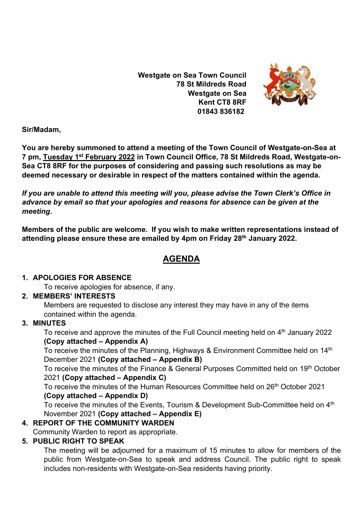**Westgate on Sea Town Council 78 St Mildreds Road Westgate on Sea Kent CT8 8RF 01843 836182**



**Sir/Madam,** 

**You are hereby summoned to attend a meeting of the Town Council of Westgate-on-Sea at 7 pm, Tuesday 1 st February 2022 in Town Council Office, 78 St Mildreds Road, Westgate-on-Sea CT8 8RF for the purposes of considering and passing such resolutions as may be deemed necessary or desirable in respect of the matters contained within the agenda.**

*If you are unable to attend this meeting will you, please advise the Town Clerk's Office in advance by email so that your apologies and reasons for absence can be given at the meeting***.**

**Members of the public are welcome. If you wish to make written representations instead of attending please ensure these are emailed by 4pm on Friday 28th January 2022.**

# **AGENDA**

### **1. APOLOGIES FOR ABSENCE**

To receive apologies for absence, if any.

## **2. MEMBERS' INTERESTS**

Members are requested to disclose any interest they may have in any of the items contained within the agenda.

## **3. MINUTES**

To receive and approve the minutes of the Full Council meeting held on 4<sup>th</sup> January 2022 **(Copy attached – Appendix A)**

To receive the minutes of the Planning, Highways & Environment Committee held on 14<sup>th</sup> December 2021 **(Copy attached – Appendix B)**

To receive the minutes of the Finance & General Purposes Committed held on 19<sup>th</sup> October 2021 **(Copy attached – Appendix C)**

To receive the minutes of the Human Resources Committee held on 26<sup>th</sup> October 2021 **(Copy attached – Appendix D)**

To receive the minutes of the Events, Tourism & Development Sub-Committee held on 4<sup>th</sup> November 2021 **(Copy attached – Appendix E)**

# **4. REPORT OF THE COMMUNITY WARDEN**

Community Warden to report as appropriate.

## **5. PUBLIC RIGHT TO SPEAK**

The meeting will be adjourned for a maximum of 15 minutes to allow for members of the public from Westgate-on-Sea to speak and address Council. The public right to speak includes non-residents with Westgate-on-Sea residents having priority.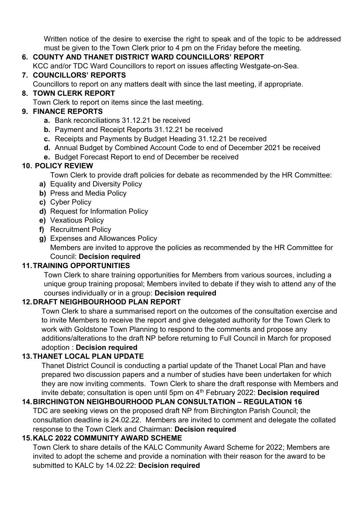Written notice of the desire to exercise the right to speak and of the topic to be addressed must be given to the Town Clerk prior to 4 pm on the Friday before the meeting.

## **6. COUNTY AND THANET DISTRICT WARD COUNCILLORS' REPORT**

KCC and/or TDC Ward Councillors to report on issues affecting Westgate-on-Sea.

### **7. COUNCILLORS' REPORTS**

Councillors to report on any matters dealt with since the last meeting, if appropriate.

### **8. TOWN CLERK REPORT**

Town Clerk to report on items since the last meeting.

### **9. FINANCE REPORTS**

- **a.** Bank reconciliations 31.12.21 be received
- **b.** Payment and Receipt Reports 31.12.21 be received
- **c.** Receipts and Payments by Budget Heading 31.12.21 be received
- **d.** Annual Budget by Combined Account Code to end of December 2021 be received
- **e.** Budget Forecast Report to end of December be received

### **10. POLICY REVIEW**

Town Clerk to provide draft policies for debate as recommended by the HR Committee:

- **a)** Equality and Diversity Policy
- **b)** Press and Media Policy
- **c)** Cyber Policy
- **d)** Request for Information Policy
- **e)** Vexatious Policy
- **f)** Recruitment Policy
- **g)** Expenses and Allowances Policy Members are invited to approve the policies as recommended by the HR Committee for Council: **Decision required**

## **11.TRAINING OPPORTUNITIES**

Town Clerk to share training opportunities for Members from various sources, including a unique group training proposal; Members invited to debate if they wish to attend any of the courses individually or in a group: **Decision required**

### **12.DRAFT NEIGHBOURHOOD PLAN REPORT**

Town Clerk to share a summarised report on the outcomes of the consultation exercise and to invite Members to receive the report and give delegated authority for the Town Clerk to work with Goldstone Town Planning to respond to the comments and propose any additions/alterations to the draft NP before returning to Full Council in March for proposed adoption : **Decision required**

## **13.THANET LOCAL PLAN UPDATE**

Thanet District Council is conducting a partial update of the Thanet Local Plan and have prepared two discussion papers and a number of studies have been undertaken for which they are now inviting comments. Town Clerk to share the draft response with Members and invite debate; consultation is open until 5pm on 4th February 2022: **Decision required**

## **14.BIRCHINGTON NEIGHBOURHOOD PLAN CONSULTATION – REGULATION 16**

TDC are seeking views on the proposed draft NP from Birchington Parish Council; the consultation deadline is 24.02.22. Members are invited to comment and delegate the collated response to the Town Clerk and Chairman: **Decision required**

### **15.KALC 2022 COMMUNITY AWARD SCHEME**

Town Clerk to share details of the KALC Community Award Scheme for 2022; Members are invited to adopt the scheme and provide a nomination with their reason for the award to be submitted to KALC by 14.02.22: **Decision required**